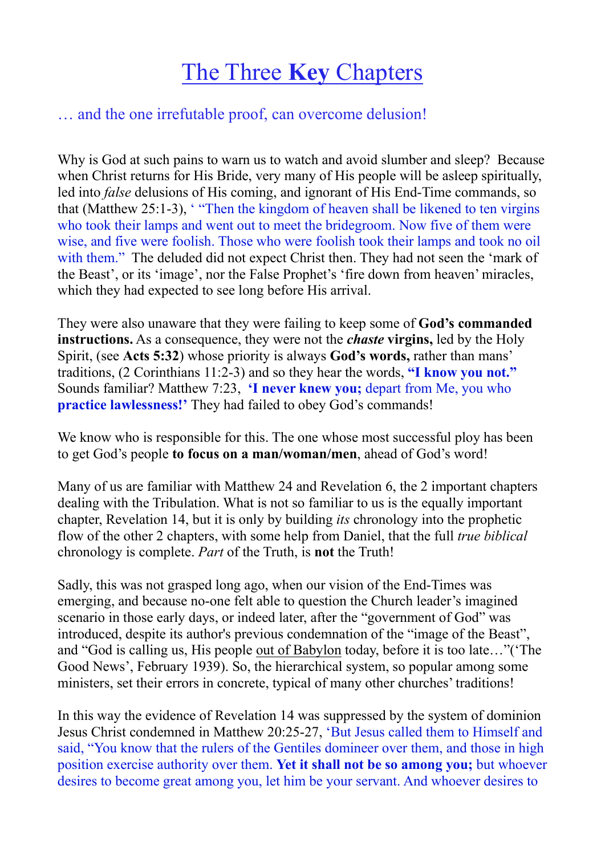## The Three **Key** Chapters

## … and the one irrefutable proof, can overcome delusion!

Why is God at such pains to warn us to watch and avoid slumber and sleep? Because when Christ returns for His Bride, very many of His people will be asleep spiritually, led into *false* delusions of His coming, and ignorant of His End-Time commands, so that (Matthew 25:1-3), ' "Then the kingdom of heaven shall be likened to ten virgins who took their lamps and went out to meet the bridegroom. Now five of them were wise, and five were foolish. Those who were foolish took their lamps and took no oil with them." The deluded did not expect Christ then. They had not seen the 'mark of the Beast', or its 'image', nor the False Prophet's 'fire down from heaven' miracles, which they had expected to see long before His arrival.

They were also unaware that they were failing to keep some of **God's commanded instructions.** As a consequence, they were not the *chaste* **virgins,** led by the Holy Spirit, (see **Acts 5:32**) whose priority is always **God's words,** rather than mans' traditions, (2 Corinthians 11:2-3) and so they hear the words, **"I know you not."**  Sounds familiar? Matthew 7:23, **'I never knew you;** depart from Me, you who **practice lawlessness!'** They had failed to obey God's commands!

We know who is responsible for this. The one whose most successful ploy has been to get God's people **to focus on a man/woman/men**, ahead of God's word!

Many of us are familiar with Matthew 24 and Revelation 6, the 2 important chapters dealing with the Tribulation. What is not so familiar to us is the equally important chapter, Revelation 14, but it is only by building *its* chronology into the prophetic flow of the other 2 chapters, with some help from Daniel, that the full *true biblical*  chronology is complete. *Part* of the Truth, is **not** the Truth!

Sadly, this was not grasped long ago, when our vision of the End-Times was emerging, and because no-one felt able to question the Church leader's imagined scenario in those early days, or indeed later, after the "government of God" was introduced, despite its author's previous condemnation of the "image of the Beast", and "God is calling us, His people out of Babylon today, before it is too late…"('The Good News', February 1939). So, the hierarchical system, so popular among some ministers, set their errors in concrete, typical of many other churches' traditions!

In this way the evidence of Revelation 14 was suppressed by the system of dominion Jesus Christ condemned in Matthew 20:25-27, 'But Jesus called them to Himself and said, "You know that the rulers of the Gentiles domineer over them, and those in high position exercise authority over them. **Yet it shall not be so among you;** but whoever desires to become great among you, let him be your servant. And whoever desires to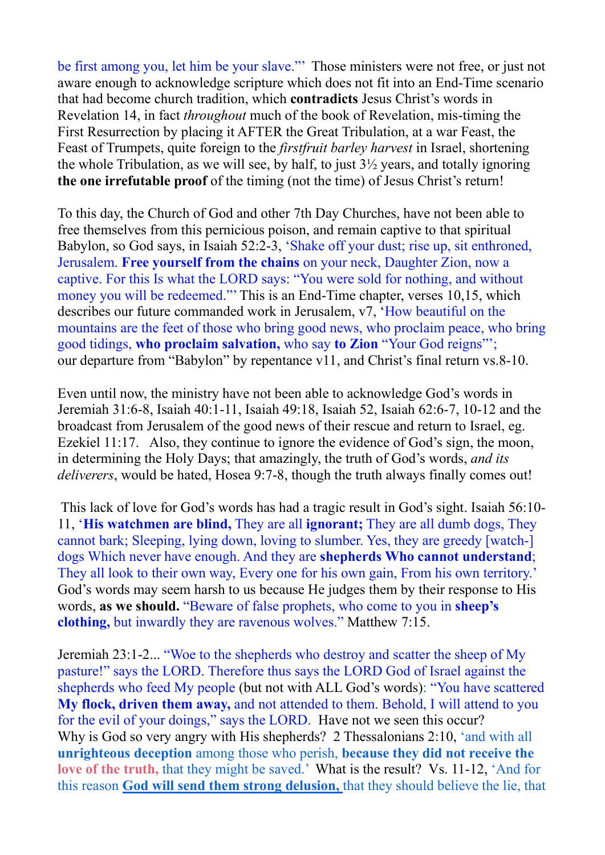be first among you, let him be your slave."' Those ministers were not free, or just not aware enough to acknowledge scripture which does not fit into an End-Time scenario that had become church tradition, which **contradicts** Jesus Christ's words in Revelation 14, in fact *throughout* much of the book of Revelation, mis-timing the First Resurrection by placing it AFTER the Great Tribulation, at a war Feast, the Feast of Trumpets, quite foreign to the *firstfruit barley harvest* in Israel, shortening the whole Tribulation, as we will see, by half, to just  $3\frac{1}{2}$  years, and totally ignoring **the one irrefutable proof** of the timing (not the time) of Jesus Christ's return!

To this day, the Church of God and other 7th Day Churches, have not been able to free themselves from this pernicious poison, and remain captive to that spiritual Babylon, so God says, in Isaiah 52:2-3, 'Shake off your dust; rise up, sit enthroned, Jerusalem. **Free yourself from the chains** on your neck, Daughter Zion, now a captive. For this Is what the LORD says: "You were sold for nothing, and without money you will be redeemed." This is an End-Time chapter, verses 10,15, which describes our future commanded work in Jerusalem, v7, 'How beautiful on the mountains are the feet of those who bring good news, who proclaim peace, who bring good tidings, **who proclaim salvation,** who say **to Zion** "Your God reigns"'; our departure from "Babylon" by repentance v11, and Christ's final return vs.8-10.

Even until now, the ministry have not been able to acknowledge God's words in Jeremiah 31:6-8, Isaiah 40:1-11, Isaiah 49:18, Isaiah 52, Isaiah 62:6-7, 10-12 and the broadcast from Jerusalem of the good news of their rescue and return to Israel, eg. Ezekiel 11:17. Also, they continue to ignore the evidence of God's sign, the moon, in determining the Holy Days; that amazingly, the truth of God's words, *and its deliverers*, would be hated, Hosea 9:7-8, though the truth always finally comes out!

 This lack of love for God's words has had a tragic result in God's sight. Isaiah 56:10- 11, '**His watchmen are blind,** They are all **ignorant;** They are all dumb dogs, They cannot bark; Sleeping, lying down, loving to slumber. Yes, they are greedy [watch-] dogs Which never have enough. And they are **shepherds Who cannot understand**; They all look to their own way, Every one for his own gain, From his own territory.' God's words may seem harsh to us because He judges them by their response to His words, **as we should.** "Beware of false prophets, who come to you in **sheep's clothing,** but inwardly they are ravenous wolves." Matthew 7:15.

Jeremiah 23:1-2... "Woe to the shepherds who destroy and scatter the sheep of My pasture!" says the LORD. Therefore thus says the LORD God of Israel against the shepherds who feed My people (but not with ALL God's words): "You have scattered **My flock, driven them away,** and not attended to them. Behold, I will attend to you for the evil of your doings," says the LORD. Have not we seen this occur? Why is God so very angry with His shepherds? 2 Thessalonians 2:10, 'and with all **unrighteous deception** among those who perish, **because they did not receive the love of the truth,** that they might be saved.' What is the result? Vs. 11-12, 'And for this reason **God will send them strong delusion,** that they should believe the lie, that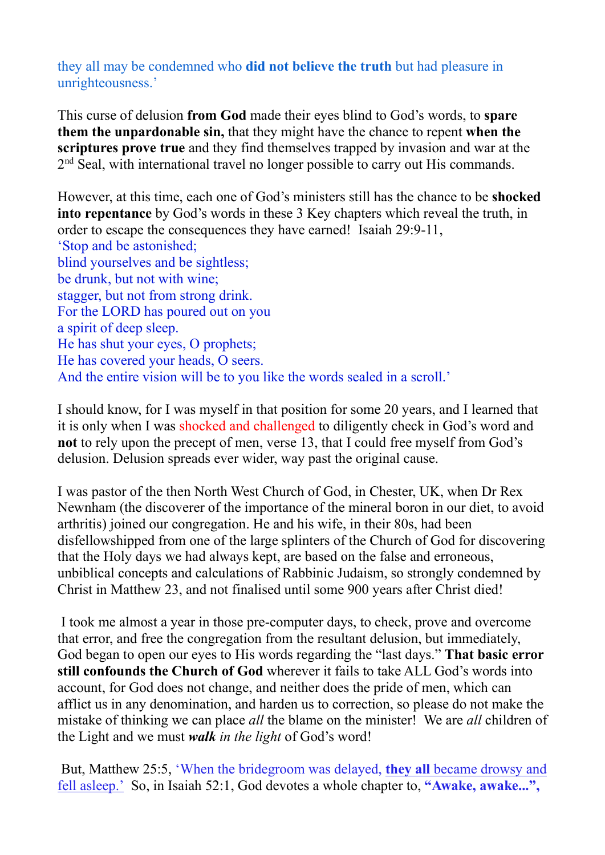they all may be condemned who **did not believe the truth** but had pleasure in unrighteousness.'

This curse of delusion **from God** made their eyes blind to God's words, to **spare them the unpardonable sin,** that they might have the chance to repent **when the scriptures prove true** and they find themselves trapped by invasion and war at the 2<sup>nd</sup> Seal, with international travel no longer possible to carry out His commands.

However, at this time, each one of God's ministers still has the chance to be **shocked into repentance** by God's words in these 3 Key chapters which reveal the truth, in order to escape the consequences they have earned! Isaiah 29:9-11, 'Stop and be astonished; blind yourselves and be sightless; be drunk, but not with wine; stagger, but not from strong drink. For the LORD has poured out on you a spirit of deep sleep. He has shut your eyes, O prophets; He has covered your heads, O seers. And the entire vision will be to you like the words sealed in a scroll.'

I should know, for I was myself in that position for some 20 years, and I learned that it is only when I was shocked and challenged to diligently check in God's word and **not** to rely upon the precept of men, verse 13, that I could free myself from God's delusion. Delusion spreads ever wider, way past the original cause.

I was pastor of the then North West Church of God, in Chester, UK, when Dr Rex Newnham (the discoverer of the importance of the mineral boron in our diet, to avoid arthritis) joined our congregation. He and his wife, in their 80s, had been disfellowshipped from one of the large splinters of the Church of God for discovering that the Holy days we had always kept, are based on the false and erroneous, unbiblical concepts and calculations of Rabbinic Judaism, so strongly condemned by Christ in Matthew 23, and not finalised until some 900 years after Christ died!

 I took me almost a year in those pre-computer days, to check, prove and overcome that error, and free the congregation from the resultant delusion, but immediately, God began to open our eyes to His words regarding the "last days." **That basic error still confounds the Church of God** wherever it fails to take ALL God's words into account, for God does not change, and neither does the pride of men, which can afflict us in any denomination, and harden us to correction, so please do not make the mistake of thinking we can place *all* the blame on the minister! We are *all* children of the Light and we must *walk in the light* of God's word!

 But, Matthew 25:5, 'When the bridegroom was delayed, **they all** became drowsy and fell asleep.' So, in Isaiah 52:1, God devotes a whole chapter to, **"Awake, awake...",**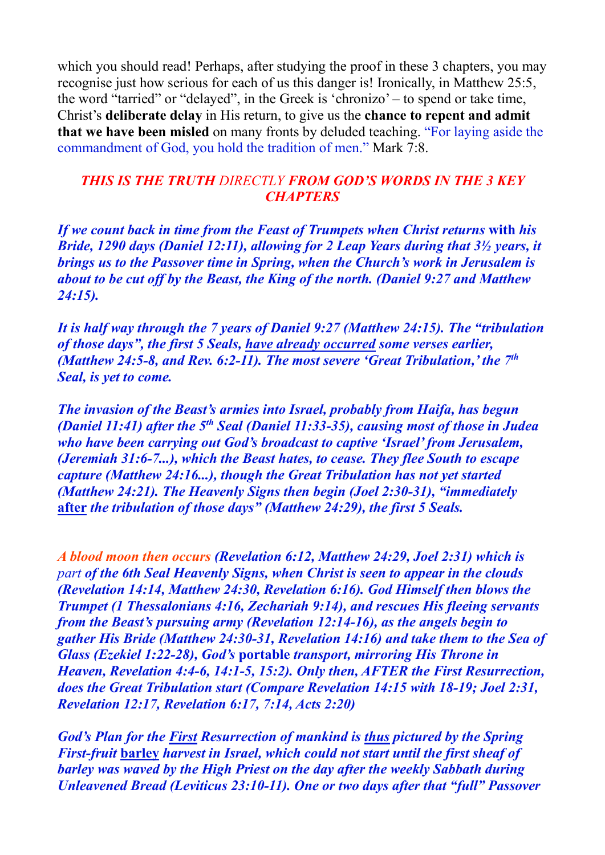which you should read! Perhaps, after studying the proof in these 3 chapters, you may recognise just how serious for each of us this danger is! Ironically, in Matthew 25:5, the word "tarried" or "delayed", in the Greek is 'chronizo' – to spend or take time, Christ's **deliberate delay** in His return, to give us the **chance to repent and admit that we have been misled** on many fronts by deluded teaching. "For laying aside the commandment of God, you hold the tradition of men." Mark 7:8.

## *THIS IS THE TRUTH DIRECTLY FROM GOD'S WORDS IN THE 3 KEY CHAPTERS*

*If we count back in time from the Feast of Trumpets when Christ returns* **with** *his Bride, 1290 days (Daniel 12:11), allowing for 2 Leap Years during that 3½ years, it brings us to the Passover time in Spring, when the Church's work in Jerusalem is about to be cut off by the Beast, the King of the north. (Daniel 9:27 and Matthew 24:15).* 

*It is half way through the 7 years of Daniel 9:27 (Matthew 24:15). The "tribulation of those days", the first 5 Seals, have already occurred some verses earlier, (Matthew 24:5-8, and Rev. 6:2-11). The most severe 'Great Tribulation,' the 7th Seal, is yet to come.* 

*The invasion of the Beast's armies into Israel, probably from Haifa, has begun (Daniel 11:41) after the 5th Seal (Daniel 11:33-35), causing most of those in Judea who have been carrying out God's broadcast to captive 'Israel' from Jerusalem, (Jeremiah 31:6-7...), which the Beast hates, to cease. They flee South to escape capture (Matthew 24:16...), though the Great Tribulation has not yet started (Matthew 24:21). The Heavenly Signs then begin (Joel 2:30-31), "immediately*  **after** *the tribulation of those days" (Matthew 24:29), the first 5 Seals.* 

*A blood moon then occurs (Revelation 6:12, Matthew 24:29, Joel 2:31) which is part of the 6th Seal Heavenly Signs, when Christ is seen to appear in the clouds (Revelation 14:14, Matthew 24:30, Revelation 6:16). God Himself then blows the Trumpet (1 Thessalonians 4:16, Zechariah 9:14), and rescues His fleeing servants from the Beast's pursuing army (Revelation 12:14-16), as the angels begin to gather His Bride (Matthew 24:30-31, Revelation 14:16) and take them to the Sea of Glass (Ezekiel 1:22-28), God's* **portable** *transport, mirroring His Throne in Heaven, Revelation 4:4-6, 14:1-5, 15:2). Only then, AFTER the First Resurrection, does the Great Tribulation start (Compare Revelation 14:15 with 18-19; Joel 2:31, Revelation 12:17, Revelation 6:17, 7:14, Acts 2:20)*

*God's Plan for the First Resurrection of mankind is thus pictured by the Spring First-fruit* **barley** *harvest in Israel, which could not start until the first sheaf of barley was waved by the High Priest on the day after the weekly Sabbath during Unleavened Bread (Leviticus 23:10-11). One or two days after that "full" Passover*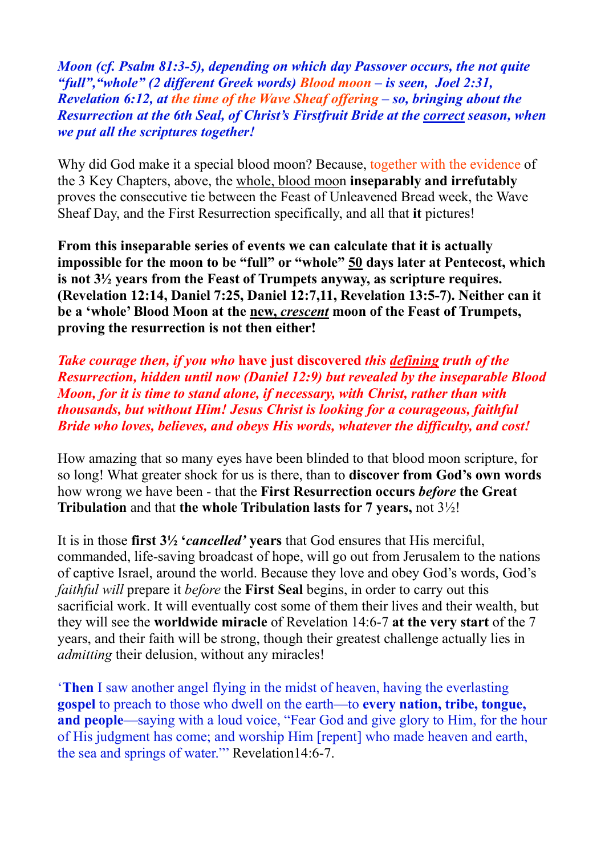*Moon (cf. Psalm 81:3-5), depending on which day Passover occurs, the not quite "full","whole" (2 different Greek words) Blood moon – is seen, Joel 2:31, Revelation 6:12, at the time of the Wave Sheaf offering – so, bringing about the Resurrection at the 6th Seal, of Christ's Firstfruit Bride at the correct season, when we put all the scriptures together!* 

Why did God make it a special blood moon? Because, together with the evidence of the 3 Key Chapters, above, the whole, blood moon **inseparably and irrefutably** proves the consecutive tie between the Feast of Unleavened Bread week, the Wave Sheaf Day, and the First Resurrection specifically, and all that **it** pictures!

**From this inseparable series of events we can calculate that it is actually impossible for the moon to be "full" or "whole" 50 days later at Pentecost, which is not 3½ years from the Feast of Trumpets anyway, as scripture requires. (Revelation 12:14, Daniel 7:25, Daniel 12:7,11, Revelation 13:5-7). Neither can it be a 'whole' Blood Moon at the new,** *crescent* **moon of the Feast of Trumpets, proving the resurrection is not then either!** 

*Take courage then, if you who* **have just discovered** *this defining truth of the Resurrection, hidden until now (Daniel 12:9) but revealed by the inseparable Blood Moon, for it is time to stand alone, if necessary, with Christ, rather than with thousands, but without Him! Jesus Christ is looking for a courageous, faithful Bride who loves, believes, and obeys His words, whatever the difficulty, and cost!* 

How amazing that so many eyes have been blinded to that blood moon scripture, for so long! What greater shock for us is there, than to **discover from God's own words** how wrong we have been - that the **First Resurrection occurs** *before* **the Great Tribulation** and that **the whole Tribulation lasts for 7 years,** not 3½!

It is in those **first 3½ '***cancelled'* **years** that God ensures that His merciful, commanded, life-saving broadcast of hope, will go out from Jerusalem to the nations of captive Israel, around the world. Because they love and obey God's words, God's *faithful will* prepare it *before* the **First Seal** begins, in order to carry out this sacrificial work. It will eventually cost some of them their lives and their wealth, but they will see the **worldwide miracle** of Revelation 14:6-7 **at the very start** of the 7 years, and their faith will be strong, though their greatest challenge actually lies in *admitting* their delusion, without any miracles!

'**Then** I saw another angel flying in the midst of heaven, having the everlasting **gospel** to preach to those who dwell on the earth—to **every nation, tribe, tongue, and people**—saying with a loud voice, "Fear God and give glory to Him, for the hour of His judgment has come; and worship Him [repent] who made heaven and earth, the sea and springs of water."' Revelation14:6-7.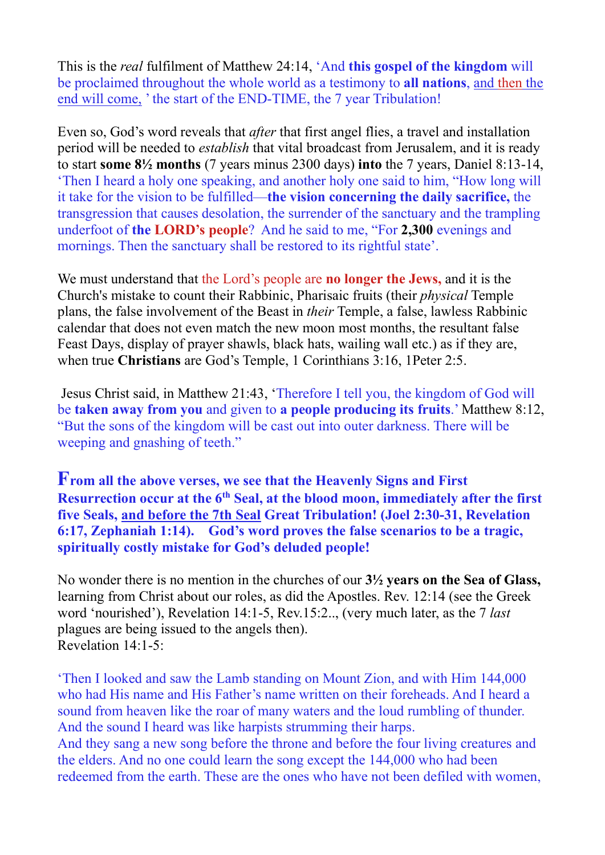This is the *real* fulfilment of Matthew 24:14, 'And **this gospel of the kingdom** will be proclaimed throughout the whole world as a testimony to **all nations**, and then the end will come, ' the start of the END-TIME, the 7 year Tribulation!

Even so, God's word reveals that *after* that first angel flies, a travel and installation period will be needed to *establish* that vital broadcast from Jerusalem, and it is ready to start **some 8½ months** (7 years minus 2300 days) **into** the 7 years, Daniel 8:13-14, 'Then I heard a holy one speaking, and another holy one said to him, "How long will it take for the vision to be fulfilled—**the vision concerning the daily sacrifice,** the transgression that causes desolation, the surrender of the sanctuary and the trampling underfoot of **the LORD's people**? And he said to me, "For **2,300** evenings and mornings. Then the sanctuary shall be restored to its rightful state'.

We must understand that the Lord's people are **no longer the Jews,** and it is the Church's mistake to count their Rabbinic, Pharisaic fruits (their *physical* Temple plans, the false involvement of the Beast in *their* Temple, a false, lawless Rabbinic calendar that does not even match the new moon most months, the resultant false Feast Days, display of prayer shawls, black hats, wailing wall etc.) as if they are, when true **Christians** are God's Temple, 1 Corinthians 3:16, 1Peter 2:5.

 Jesus Christ said, in Matthew 21:43, 'Therefore I tell you, the kingdom of God will be **taken away from you** and given to **a people producing its fruits**.' Matthew 8:12, "But the sons of the kingdom will be cast out into outer darkness. There will be weeping and gnashing of teeth."

**From all the above verses, we see that the Heavenly Signs and First Resurrection occur at the 6th Seal, at the blood moon, immediately after the first five Seals, and before the 7th Seal Great Tribulation! (Joel 2:30-31, Revelation 6:17, Zephaniah 1:14). God's word proves the false scenarios to be a tragic, spiritually costly mistake for God's deluded people!**

No wonder there is no mention in the churches of our **3½ years on the Sea of Glass,**  learning from Christ about our roles, as did the Apostles. Rev. 12:14 (see the Greek word 'nourished'), Revelation 14:1-5, Rev.15:2.., (very much later, as the 7 *last* plagues are being issued to the angels then). Revelation 14:1-5:

'Then I looked and saw the Lamb standing on Mount Zion, and with Him 144,000 who had His name and His Father's name written on their foreheads. And I heard a sound from heaven like the roar of many waters and the loud rumbling of thunder. And the sound I heard was like harpists strumming their harps. And they sang a new song before the throne and before the four living creatures and the elders. And no one could learn the song except the 144,000 who had been redeemed from the earth. These are the ones who have not been defiled with women,